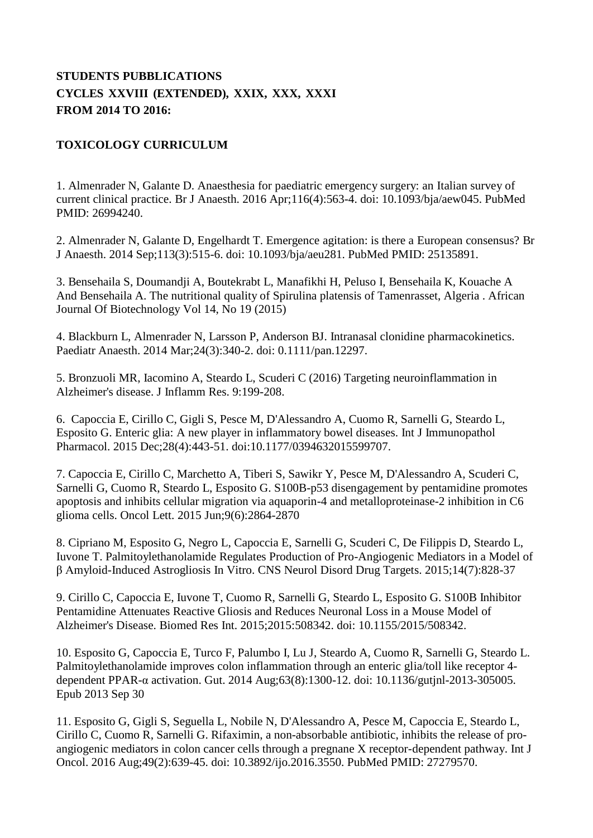## **STUDENTS PUBBLICATIONS CYCLES XXVIII (EXTENDED), XXIX, XXX, XXXI FROM 2014 TO 2016:**

## **TOXICOLOGY CURRICULUM**

1. Almenrader N, Galante D. Anaesthesia for paediatric emergency surgery: an Italian survey of current clinical practice. Br J Anaesth. 2016 Apr;116(4):563-4. doi: 10.1093/bja/aew045. PubMed PMID: 26994240.

2. Almenrader N, Galante D, Engelhardt T. Emergence agitation: is there a European consensus? Br J Anaesth. 2014 Sep;113(3):515-6. doi: 10.1093/bja/aeu281. PubMed PMID: 25135891.

3. Bensehaila S, Doumandji A, Boutekrabt L, Manafikhi H, Peluso I, Bensehaila K, Kouache A And Bensehaila A. The nutritional quality of Spirulina platensis of Tamenrasset, Algeria . African Journal Of Biotechnology Vol 14, No 19 (2015)

4. Blackburn L, Almenrader N, Larsson P, Anderson BJ. Intranasal clonidine pharmacokinetics. Paediatr Anaesth. 2014 Mar;24(3):340-2. doi: 0.1111/pan.12297.

5. Bronzuoli MR, Iacomino A, Steardo L, Scuderi C (2016) Targeting neuroinflammation in Alzheimer's disease. J Inflamm Res. 9:199-208.

6. Capoccia E, Cirillo C, Gigli S, Pesce M, D'Alessandro A, Cuomo R, Sarnelli G, Steardo L, Esposito G. Enteric glia: A new player in inflammatory bowel diseases. Int J Immunopathol Pharmacol. 2015 Dec;28(4):443-51. doi:10.1177/0394632015599707.

7. Capoccia E, Cirillo C, Marchetto A, Tiberi S, Sawikr Y, Pesce M, D'Alessandro A, Scuderi C, Sarnelli G, Cuomo R, Steardo L, Esposito G. S100B-p53 disengagement by pentamidine promotes apoptosis and inhibits cellular migration via aquaporin-4 and metalloproteinase-2 inhibition in C6 glioma cells. Oncol Lett. 2015 Jun;9(6):2864-2870

8. Cipriano M, Esposito G, Negro L, Capoccia E, Sarnelli G, Scuderi C, De Filippis D, Steardo L, Iuvone T. Palmitoylethanolamide Regulates Production of Pro-Angiogenic Mediators in a Model of β Amyloid-Induced Astrogliosis In Vitro. CNS Neurol Disord Drug Targets. 2015;14(7):828-37

9. Cirillo C, Capoccia E, Iuvone T, Cuomo R, Sarnelli G, Steardo L, Esposito G. S100B Inhibitor Pentamidine Attenuates Reactive Gliosis and Reduces Neuronal Loss in a Mouse Model of Alzheimer's Disease. Biomed Res Int. 2015;2015:508342. doi: 10.1155/2015/508342.

10. Esposito G, Capoccia E, Turco F, Palumbo I, Lu J, Steardo A, Cuomo R, Sarnelli G, Steardo L. Palmitoylethanolamide improves colon inflammation through an enteric glia/toll like receptor 4 dependent PPAR-α activation. Gut. 2014 Aug;63(8):1300-12. doi: 10.1136/gutjnl-2013-305005. Epub 2013 Sep 30

11. Esposito G, Gigli S, Seguella L, Nobile N, D'Alessandro A, Pesce M, Capoccia E, Steardo L, Cirillo C, Cuomo R, Sarnelli G. Rifaximin, a non-absorbable antibiotic, inhibits the release of proangiogenic mediators in colon cancer cells through a pregnane X receptor-dependent pathway. Int J Oncol. 2016 Aug;49(2):639-45. doi: 10.3892/ijo.2016.3550. PubMed PMID: 27279570.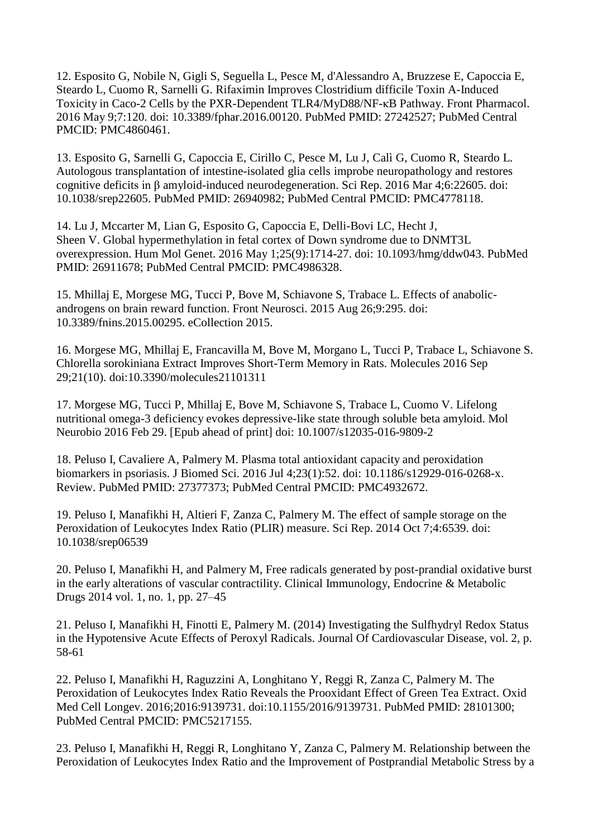12. Esposito G, Nobile N, Gigli S, Seguella L, Pesce M, d'Alessandro A, Bruzzese E, Capoccia E, Steardo L, Cuomo R, Sarnelli G. Rifaximin Improves Clostridium difficile Toxin A-Induced Toxicity in Caco-2 Cells by the PXR-Dependent TLR4/MyD88/NF-κB Pathway. Front Pharmacol. 2016 May 9;7:120. doi: 10.3389/fphar.2016.00120. PubMed PMID: 27242527; PubMed Central PMCID: PMC4860461.

13. Esposito G, Sarnelli G, Capoccia E, Cirillo C, Pesce M, Lu J, Calì G, Cuomo R, Steardo L. Autologous transplantation of intestine-isolated glia cells improbe neuropathology and restores cognitive deficits in β amyloid-induced neurodegeneration. Sci Rep. 2016 Mar 4;6:22605. doi: 10.1038/srep22605. PubMed PMID: 26940982; PubMed Central PMCID: PMC4778118.

14. Lu J, Mccarter M, Lian G, Esposito G, Capoccia E, Delli-Bovi LC, Hecht J, Sheen V. Global hypermethylation in fetal cortex of Down syndrome due to DNMT3L overexpression. Hum Mol Genet. 2016 May 1;25(9):1714-27. doi: 10.1093/hmg/ddw043. PubMed PMID: 26911678; PubMed Central PMCID: PMC4986328.

15. Mhillaj E, Morgese MG, Tucci P, Bove M, Schiavone S, Trabace L. Effects of anabolicandrogens on brain reward function. Front Neurosci. 2015 Aug 26;9:295. doi: 10.3389/fnins.2015.00295. eCollection 2015.

16. Morgese MG, Mhillaj E, Francavilla M, Bove M, Morgano L, Tucci P, Trabace L, Schiavone S. Chlorella sorokiniana Extract Improves Short-Term Memory in Rats. Molecules 2016 Sep 29;21(10). doi:10.3390/molecules21101311

17. Morgese MG, Tucci P, Mhillaj E, Bove M, Schiavone S, Trabace L, Cuomo V. Lifelong nutritional omega-3 deficiency evokes depressive-like state through soluble beta amyloid. Mol Neurobio 2016 Feb 29. [Epub ahead of print] doi: 10.1007/s12035-016-9809-2

18. Peluso I, Cavaliere A, Palmery M. Plasma total antioxidant capacity and peroxidation biomarkers in psoriasis. J Biomed Sci. 2016 Jul 4;23(1):52. doi: 10.1186/s12929-016-0268-x. Review. PubMed PMID: 27377373; PubMed Central PMCID: PMC4932672.

19. Peluso I, Manafikhi H, Altieri F, Zanza C, Palmery M. The effect of sample storage on the Peroxidation of Leukocytes Index Ratio (PLIR) measure. Sci Rep. 2014 Oct 7;4:6539. doi: 10.1038/srep06539

20. Peluso I, Manafikhi H, and Palmery M, Free radicals generated by post-prandial oxidative burst in the early alterations of vascular contractility. Clinical Immunology, Endocrine & Metabolic Drugs 2014 vol. 1, no. 1, pp. 27–45

21. Peluso I, Manafikhi H, Finotti E, Palmery M. (2014) Investigating the Sulfhydryl Redox Status in the Hypotensive Acute Effects of Peroxyl Radicals. Journal Of Cardiovascular Disease, vol. 2, p. 58-61

22. Peluso I, Manafikhi H, Raguzzini A, Longhitano Y, Reggi R, Zanza C, Palmery M. The Peroxidation of Leukocytes Index Ratio Reveals the Prooxidant Effect of Green Tea Extract. Oxid Med Cell Longev. 2016;2016:9139731. doi:10.1155/2016/9139731. PubMed PMID: 28101300; PubMed Central PMCID: PMC5217155.

23. Peluso I, Manafikhi H, Reggi R, Longhitano Y, Zanza C, Palmery M. Relationship between the Peroxidation of Leukocytes Index Ratio and the Improvement of Postprandial Metabolic Stress by a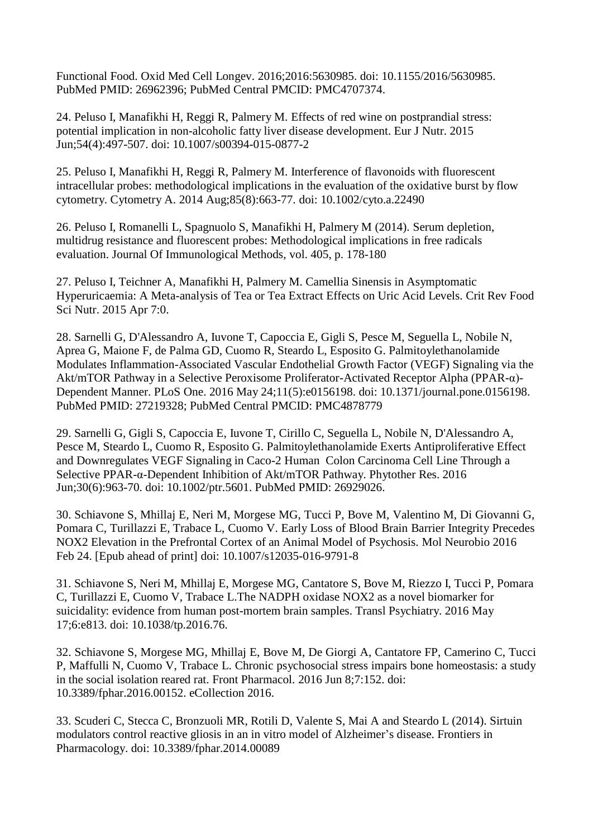Functional Food. Oxid Med Cell Longev. 2016;2016:5630985. doi: 10.1155/2016/5630985. PubMed PMID: 26962396; PubMed Central PMCID: PMC4707374.

24. Peluso I, Manafikhi H, Reggi R, Palmery M. Effects of red wine on postprandial stress: potential implication in non-alcoholic fatty liver disease development. Eur J Nutr. 2015 Jun;54(4):497-507. doi: 10.1007/s00394-015-0877-2

25. Peluso I, Manafikhi H, Reggi R, Palmery M. Interference of flavonoids with fluorescent intracellular probes: methodological implications in the evaluation of the oxidative burst by flow cytometry. Cytometry A. 2014 Aug;85(8):663-77. doi: 10.1002/cyto.a.22490

26. Peluso I, Romanelli L, Spagnuolo S, Manafikhi H, Palmery M (2014). Serum depletion, multidrug resistance and fluorescent probes: Methodological implications in free radicals evaluation. Journal Of Immunological Methods, vol. 405, p. 178-180

27. Peluso I, Teichner A, Manafikhi H, Palmery M. Camellia Sinensis in Asymptomatic Hyperuricaemia: A Meta-analysis of Tea or Tea Extract Effects on Uric Acid Levels. Crit Rev Food Sci Nutr. 2015 Apr 7:0.

28. Sarnelli G, D'Alessandro A, Iuvone T, Capoccia E, Gigli S, Pesce M, Seguella L, Nobile N, Aprea G, Maione F, de Palma GD, Cuomo R, Steardo L, Esposito G. Palmitoylethanolamide Modulates Inflammation-Associated Vascular Endothelial Growth Factor (VEGF) Signaling via the Akt/mTOR Pathway in a Selective Peroxisome Proliferator-Activated Receptor Alpha (PPAR-α)- Dependent Manner. PLoS One. 2016 May 24;11(5):e0156198. doi: 10.1371/journal.pone.0156198. PubMed PMID: 27219328; PubMed Central PMCID: PMC4878779

29. Sarnelli G, Gigli S, Capoccia E, Iuvone T, Cirillo C, Seguella L, Nobile N, D'Alessandro A, Pesce M, Steardo L, Cuomo R, Esposito G. Palmitoylethanolamide Exerts Antiproliferative Effect and Downregulates VEGF Signaling in Caco-2 Human Colon Carcinoma Cell Line Through a Selective PPAR-α-Dependent Inhibition of Akt/mTOR Pathway. Phytother Res. 2016 Jun;30(6):963-70. doi: 10.1002/ptr.5601. PubMed PMID: 26929026.

30. Schiavone S, Mhillaj E, Neri M, Morgese MG, Tucci P, Bove M, Valentino M, Di Giovanni G, Pomara C, Turillazzi E, Trabace L, Cuomo V. Early Loss of Blood Brain Barrier Integrity Precedes NOX2 Elevation in the Prefrontal Cortex of an Animal Model of Psychosis. Mol Neurobio 2016 Feb 24. [Epub ahead of print] doi: 10.1007/s12035-016-9791-8

31. Schiavone S, Neri M, Mhillaj E, Morgese MG, Cantatore S, Bove M, Riezzo I, Tucci P, Pomara C, Turillazzi E, Cuomo V, Trabace L.The NADPH oxidase NOX2 as a novel biomarker for suicidality: evidence from human post-mortem brain samples. Transl Psychiatry. 2016 May 17;6:e813. doi: 10.1038/tp.2016.76.

32. Schiavone S, Morgese MG, Mhillaj E, Bove M, De Giorgi A, Cantatore FP, Camerino C, Tucci P, Maffulli N, Cuomo V, Trabace L. Chronic psychosocial stress impairs bone homeostasis: a study in the social isolation reared rat. Front Pharmacol. 2016 Jun 8;7:152. doi: 10.3389/fphar.2016.00152. eCollection 2016.

33. Scuderi C, Stecca C, Bronzuoli MR, Rotili D, Valente S, Mai A and Steardo L (2014). Sirtuin modulators control reactive gliosis in an in vitro model of Alzheimer's disease. Frontiers in Pharmacology. doi: 10.3389/fphar.2014.00089